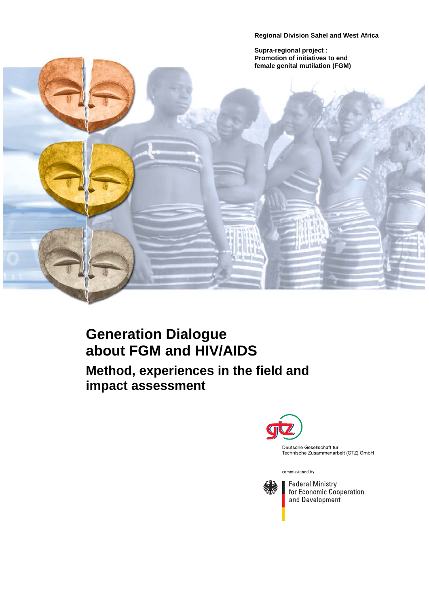**Regional Division Sahel and West Africa**

**Supra-regional project : Promotion of initiatives to end female genital mutilation (FGM)** 



# $\ddot{\phantom{0}}$ **Generation Dialogue about FGM and HIV/AIDS Method, experiences in the field and impact assessment**



Deutsche Gesellschaft für Technische Zusammenarbeit (GTZ) GmbH

commissioned by:



**Federal Ministry** for Economic Cooperation and Development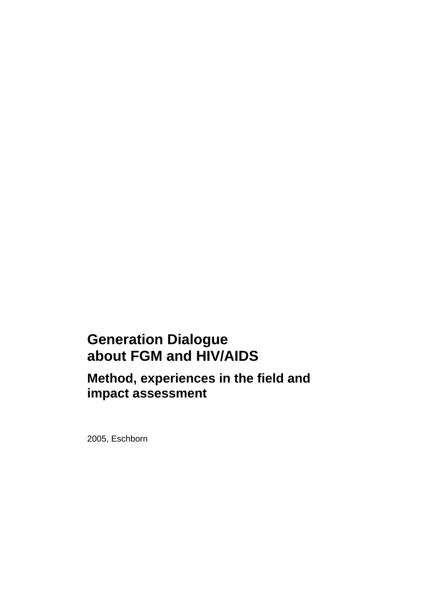# **Generation Dialogue about FGM and HIV/AIDS**

**Method, experiences in the field and impact assessment**

2005, Eschborn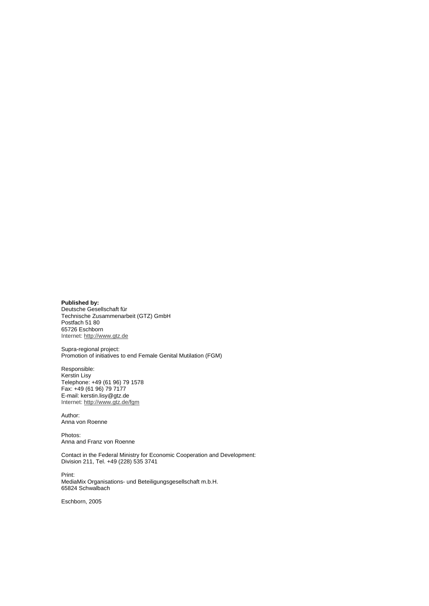**Published by:** 

Deutsche Gesellschaft für Technische Zusammenarbeit (GTZ) GmbH Postfach 51 80 65726 Eschborn Internet: [http://www.gtz.de](http://www.gtz.de/)

Supra-regional project: Promotion of initiatives to end Female Genital Mutilation (FGM)

Responsible: Kerstin Lisy Telephone: +49 (61 96) 79 1578 Fax: +49 (61 96) 79 7177 E-mail: [kerstin.lisy@gtz.de](mailto:kerstin.lisy@gtz.de) Internet: <http://www.gtz.de/fgm>

Author: Anna von Roenne

Photos: Anna and Franz von Roenne

Contact in the Federal Ministry for Economic Cooperation and Development: Division 211, Tel. +49 (228) 535 3741

Print: MediaMix Organisations- und Beteiligungsgesellschaft m.b.H. 65824 Schwalbach

Eschborn, 2005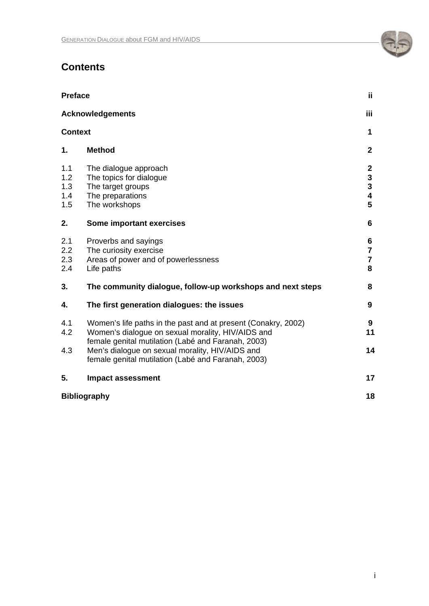# **Contents**

| <b>Preface</b>                  |                                                                                                                                                                                                                             | ij.                                                                                     |
|---------------------------------|-----------------------------------------------------------------------------------------------------------------------------------------------------------------------------------------------------------------------------|-----------------------------------------------------------------------------------------|
|                                 | <b>Acknowledgements</b>                                                                                                                                                                                                     |                                                                                         |
| <b>Context</b>                  |                                                                                                                                                                                                                             | 1                                                                                       |
| 1.                              | <b>Method</b>                                                                                                                                                                                                               | $\mathbf{2}$                                                                            |
| 1.1<br>1.2<br>1.3<br>1.4<br>1.5 | The dialogue approach<br>The topics for dialogue<br>The target groups<br>The preparations<br>The workshops                                                                                                                  | $\mathbf{2}$<br>$\mathbf{3}$<br>$\overline{\mathbf{3}}$<br>$\overline{\mathbf{4}}$<br>5 |
| 2.                              | Some important exercises                                                                                                                                                                                                    | 6                                                                                       |
| 2.1<br>2.2<br>2.3<br>2.4        | Proverbs and sayings<br>The curiosity exercise<br>Areas of power and of powerlessness<br>Life paths                                                                                                                         | 6<br>$\overline{7}$<br>$\overline{7}$<br>8                                              |
| 3.                              | The community dialogue, follow-up workshops and next steps                                                                                                                                                                  | 8                                                                                       |
| 4.                              | The first generation dialogues: the issues                                                                                                                                                                                  | 9                                                                                       |
| 4.1<br>4.2<br>4.3               | Women's life paths in the past and at present (Conakry, 2002)<br>Women's dialogue on sexual morality, HIV/AIDS and<br>female genital mutilation (Labé and Faranah, 2003)<br>Men's dialogue on sexual morality, HIV/AIDS and | 9<br>11<br>14                                                                           |
|                                 | female genital mutilation (Labé and Faranah, 2003)                                                                                                                                                                          |                                                                                         |
| 5.                              | <b>Impact assessment</b>                                                                                                                                                                                                    | 17                                                                                      |
| <b>Bibliography</b>             |                                                                                                                                                                                                                             | 18                                                                                      |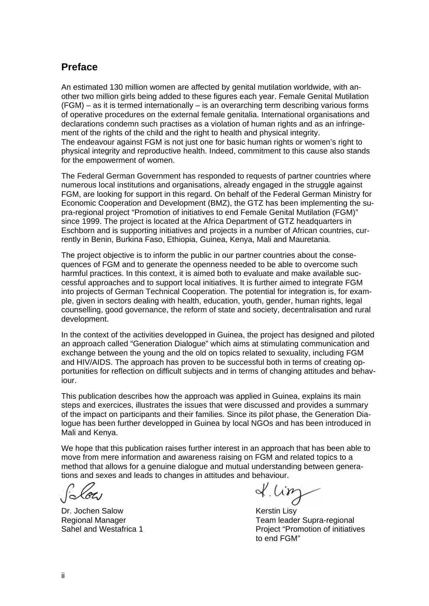# **Preface**

An estimated 130 million women are affected by genital mutilation worldwide, with another two million girls being added to these figures each year. Female Genital Mutilation (FGM) – as it is termed internationally – is an overarching term describing various forms of operative procedures on the external female genitalia. International organisations and declarations condemn such practises as a violation of human rights and as an infringement of the rights of the child and the right to health and physical integrity. The endeavour against FGM is not just one for basic human rights or women's right to physical integrity and reproductive health. Indeed, commitment to this cause also stands for the empowerment of women.

The Federal German Government has responded to requests of partner countries where numerous local institutions and organisations, already engaged in the struggle against FGM, are looking for support in this regard. On behalf of the Federal German Ministry for Economic Cooperation and Development (BMZ), the GTZ has been implementing the supra-regional project "Promotion of initiatives to end Female Genital Mutilation (FGM)" since 1999. The project is located at the Africa Department of GTZ headquarters in Eschborn and is supporting initiatives and projects in a number of African countries, currently in Benin, Burkina Faso, Ethiopia, Guinea, Kenya, Mali and Mauretania.

The project objective is to inform the public in our partner countries about the consequences of FGM and to generate the openness needed to be able to overcome such harmful practices. In this context, it is aimed both to evaluate and make available successful approaches and to support local initiatives. It is further aimed to integrate FGM into projects of German Technical Cooperation. The potential for integration is, for example, given in sectors dealing with health, education, youth, gender, human rights, legal counselling, good governance, the reform of state and society, decentralisation and rural development.

In the context of the activities developped in Guinea, the project has designed and piloted an approach called "Generation Dialogue" which aims at stimulating communication and exchange between the young and the old on topics related to sexuality, including FGM and HIV/AIDS. The approach has proven to be successful both in terms of creating opportunities for reflection on difficult subjects and in terms of changing attitudes and behaviour.

This publication describes how the approach was applied in Guinea, explains its main steps and exercices, illustrates the issues that were discussed and provides a summary of the impact on participants and their families. Since its pilot phase, the Generation Dialogue has been further developped in Guinea by local NGOs and has been introduced in Mali and Kenya.

We hope that this publication raises further interest in an approach that has been able to move from mere information and awareness raising on FGM and related topics to a method that allows for a genuine dialogue and mutual understanding between generations and sexes and leads to changes in attitudes and behaviour.

Dr. Jochen Salow **Kerstin Lisy** 

 $x^{\mu}$ 

Regional Manager Team leader Supra-regional Sahel and Westafrica 1 **Project** "Project "Promotion of initiatives to end FGM"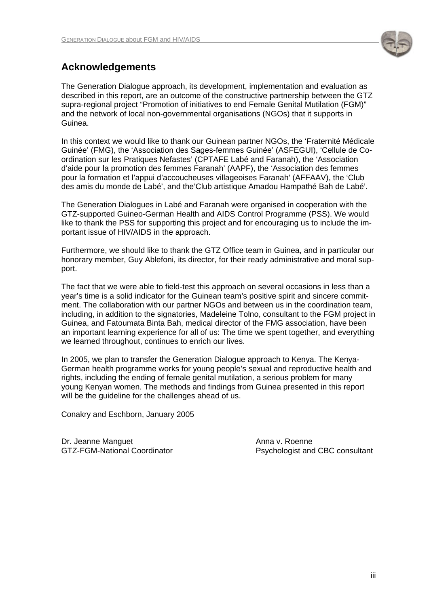

# **Acknowledgements**

The Generation Dialogue approach, its development, implementation and evaluation as described in this report, are an outcome of the constructive partnership between the GTZ supra-regional project "Promotion of initiatives to end Female Genital Mutilation (FGM)" and the network of local non-governmental organisations (NGOs) that it supports in Guinea.

In this context we would like to thank our Guinean partner NGOs, the 'Fraternité Médicale Guinée' (FMG), the 'Association des Sages-femmes Guinée' (ASFEGUI), 'Cellule de Coordination sur les Pratiques Nefastes' (CPTAFE Labé and Faranah), the 'Association d'aide pour la promotion des femmes Faranah' (AAPF), the 'Association des femmes pour la formation et l'appui d'accoucheuses villageoises Faranah' (AFFAAV), the 'Club des amis du monde de Labé', and the'Club artistique Amadou Hampathé Bah de Labé'.

The Generation Dialogues in Labé and Faranah were organised in cooperation with the GTZ-supported Guineo-German Health and AIDS Control Programme (PSS). We would like to thank the PSS for supporting this project and for encouraging us to include the important issue of HIV/AIDS in the approach.

Furthermore, we should like to thank the GTZ Office team in Guinea, and in particular our honorary member, Guy Ablefoni, its director, for their ready administrative and moral support.

The fact that we were able to field-test this approach on several occasions in less than a year's time is a solid indicator for the Guinean team's positive spirit and sincere commitment. The collaboration with our partner NGOs and between us in the coordination team, including, in addition to the signatories, Madeleine Tolno, consultant to the FGM project in Guinea, and Fatoumata Binta Bah, medical director of the FMG association, have been an important learning experience for all of us: The time we spent together, and everything we learned throughout, continues to enrich our lives.

In 2005, we plan to transfer the Generation Dialogue approach to Kenya. The Kenya-German health programme works for young people's sexual and reproductive health and rights, including the ending of female genital mutilation, a serious problem for many young Kenyan women. The methods and findings from Guinea presented in this report will be the guideline for the challenges ahead of us.

Conakry and Eschborn, January 2005

Dr. Jeanne Manguet Anna v. Roenne

GTZ-FGM-National Coordinator **P**sychologist and CBC consultant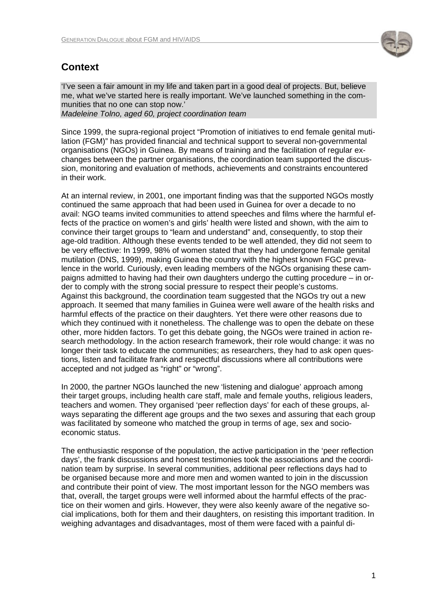

# **Context**

'I've seen a fair amount in my life and taken part in a good deal of projects. But, believe me, what we've started here is really important. We've launched something in the communities that no one can stop now.'

*Madeleine Tolno, aged 60, project coordination team* 

Since 1999, the supra-regional project "Promotion of initiatives to end female genital mutilation (FGM)" has provided financial and technical support to several non-governmental organisations (NGOs) in Guinea. By means of training and the facilitation of regular exchanges between the partner organisations, the coordination team supported the discussion, monitoring and evaluation of methods, achievements and constraints encountered in their work.

At an internal review, in 2001, one important finding was that the supported NGOs mostly continued the same approach that had been used in Guinea for over a decade to no avail: NGO teams invited communities to attend speeches and films where the harmful effects of the practice on women's and girls' health were listed and shown, with the aim to convince their target groups to "learn and understand" and, consequently, to stop their age-old tradition. Although these events tended to be well attended, they did not seem to be very effective: In 1999, 98% of women stated that they had undergone female genital mutilation (DNS, 1999), making Guinea the country with the highest known FGC prevalence in the world. Curiously, even leading members of the NGOs organising these campaigns admitted to having had their own daughters undergo the cutting procedure – in order to comply with the strong social pressure to respect their people's customs. Against this background, the coordination team suggested that the NGOs try out a new approach. It seemed that many families in Guinea were well aware of the health risks and harmful effects of the practice on their daughters. Yet there were other reasons due to which they continued with it nonetheless. The challenge was to open the debate on these other, more hidden factors. To get this debate going, the NGOs were trained in action research methodology. In the action research framework, their role would change: it was no longer their task to educate the communities; as researchers, they had to ask open questions, listen and facilitate frank and respectful discussions where all contributions were accepted and not judged as "right" or "wrong".

In 2000, the partner NGOs launched the new 'listening and dialogue' approach among their target groups, including health care staff, male and female youths, religious leaders, teachers and women. They organised 'peer reflection days' for each of these groups, always separating the different age groups and the two sexes and assuring that each group was facilitated by someone who matched the group in terms of age, sex and socioeconomic status.

The enthusiastic response of the population, the active participation in the 'peer reflection days', the frank discussions and honest testimonies took the associations and the coordination team by surprise. In several communities, additional peer reflections days had to be organised because more and more men and women wanted to join in the discussion and contribute their point of view. The most important lesson for the NGO members was that, overall, the target groups were well informed about the harmful effects of the practice on their women and girls. However, they were also keenly aware of the negative social implications, both for them and their daughters, on resisting this important tradition. In weighing advantages and disadvantages, most of them were faced with a painful di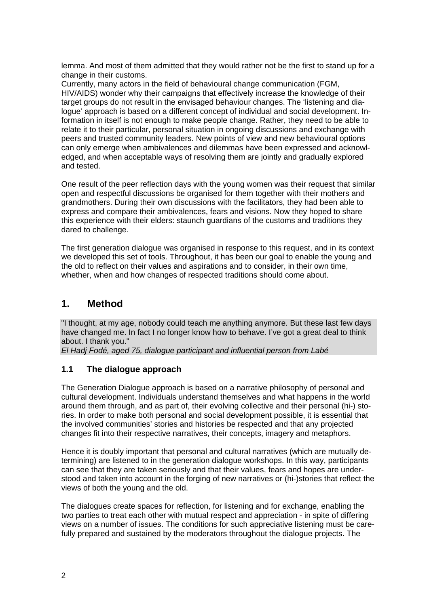lemma. And most of them admitted that they would rather not be the first to stand up for a change in their customs.

Currently, many actors in the field of behavioural change communication (FGM, HIV/AIDS) wonder why their campaigns that effectively increase the knowledge of their target groups do not result in the envisaged behaviour changes. The 'listening and dialogue' approach is based on a different concept of individual and social development. Information in itself is not enough to make people change. Rather, they need to be able to relate it to their particular, personal situation in ongoing discussions and exchange with peers and trusted community leaders. New points of view and new behavioural options can only emerge when ambivalences and dilemmas have been expressed and acknowledged, and when acceptable ways of resolving them are jointly and gradually explored and tested.

One result of the peer reflection days with the young women was their request that similar open and respectful discussions be organised for them together with their mothers and grandmothers. During their own discussions with the facilitators, they had been able to express and compare their ambivalences, fears and visions. Now they hoped to share this experience with their elders: staunch guardians of the customs and traditions they dared to challenge.

The first generation dialogue was organised in response to this request, and in its context we developed this set of tools. Throughout, it has been our goal to enable the young and the old to reflect on their values and aspirations and to consider, in their own time, whether, when and how changes of respected traditions should come about.

# **1. Method**

"I thought, at my age, nobody could teach me anything anymore. But these last few days have changed me. In fact I no longer know how to behave. I've got a great deal to think about. I thank you."

*El Hadj Fodé, aged 75, dialogue participant and influential person from Labé* 

### **1.1 The dialogue approach**

The Generation Dialogue approach is based on a narrative philosophy of personal and cultural development. Individuals understand themselves and what happens in the world around them through, and as part of, their evolving collective and their personal (hi-) stories. In order to make both personal and social development possible, it is essential that the involved communities' stories and histories be respected and that any projected changes fit into their respective narratives, their concepts, imagery and metaphors.

Hence it is doubly important that personal and cultural narratives (which are mutually determining) are listened to in the generation dialogue workshops. In this way, participants can see that they are taken seriously and that their values, fears and hopes are understood and taken into account in the forging of new narratives or (hi-)stories that reflect the views of both the young and the old.

The dialogues create spaces for reflection, for listening and for exchange, enabling the two parties to treat each other with mutual respect and appreciation - in spite of differing views on a number of issues. The conditions for such appreciative listening must be carefully prepared and sustained by the moderators throughout the dialogue projects. The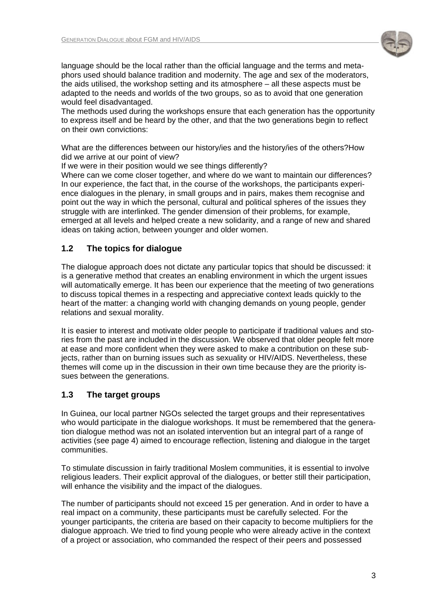

language should be the local rather than the official language and the terms and metaphors used should balance tradition and modernity. The age and sex of the moderators, the aids utilised, the workshop setting and its atmosphere – all these aspects must be adapted to the needs and worlds of the two groups, so as to avoid that one generation would feel disadvantaged.

The methods used during the workshops ensure that each generation has the opportunity to express itself and be heard by the other, and that the two generations begin to reflect on their own convictions:

What are the differences between our history/ies and the history/ies of the others?How did we arrive at our point of view?

If we were in their position would we see things differently?

Where can we come closer together, and where do we want to maintain our differences? In our experience, the fact that, in the course of the workshops, the participants experience dialogues in the plenary, in small groups and in pairs, makes them recognise and point out the way in which the personal, cultural and political spheres of the issues they struggle with are interlinked. The gender dimension of their problems, for example, emerged at all levels and helped create a new solidarity, and a range of new and shared ideas on taking action, between younger and older women.

# **1.2 The topics for dialogue**

The dialogue approach does not dictate any particular topics that should be discussed: it is a generative method that creates an enabling environment in which the urgent issues will automatically emerge. It has been our experience that the meeting of two generations to discuss topical themes in a respecting and appreciative context leads quickly to the heart of the matter: a changing world with changing demands on young people, gender relations and sexual morality.

It is easier to interest and motivate older people to participate if traditional values and stories from the past are included in the discussion. We observed that older people felt more at ease and more confident when they were asked to make a contribution on these subjects, rather than on burning issues such as sexuality or HIV/AIDS. Nevertheless, these themes will come up in the discussion in their own time because they are the priority issues between the generations.

### **1.3 The target groups**

In Guinea, our local partner NGOs selected the target groups and their representatives who would participate in the dialogue workshops. It must be remembered that the generation dialogue method was not an isolated intervention but an integral part of a range of activities (see page 4) aimed to encourage reflection, listening and dialogue in the target communities.

To stimulate discussion in fairly traditional Moslem communities, it is essential to involve religious leaders. Their explicit approval of the dialogues, or better still their participation, will enhance the visibility and the impact of the dialogues.

The number of participants should not exceed 15 per generation. And in order to have a real impact on a community, these participants must be carefully selected. For the younger participants, the criteria are based on their capacity to become multipliers for the dialogue approach. We tried to find young people who were already active in the context of a project or association, who commanded the respect of their peers and possessed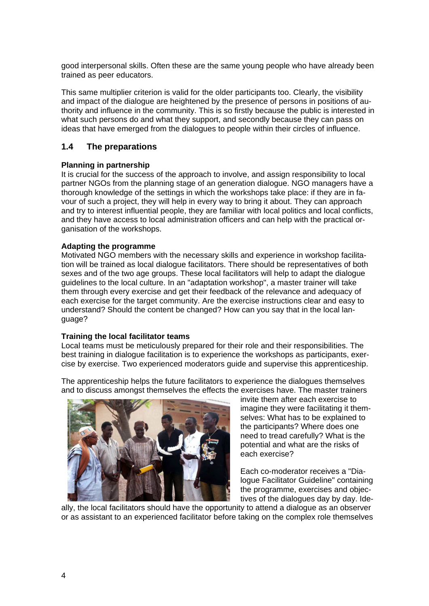good interpersonal skills. Often these are the same young people who have already been trained as peer educators.

This same multiplier criterion is valid for the older participants too. Clearly, the visibility and impact of the dialogue are heightened by the presence of persons in positions of authority and influence in the community. This is so firstly because the public is interested in what such persons do and what they support, and secondly because they can pass on ideas that have emerged from the dialogues to people within their circles of influence.

### **1.4 The preparations**

#### **Planning in partnership**

It is crucial for the success of the approach to involve, and assign responsibility to local partner NGOs from the planning stage of an generation dialogue. NGO managers have a thorough knowledge of the settings in which the workshops take place: if they are in favour of such a project, they will help in every way to bring it about. They can approach and try to interest influential people, they are familiar with local politics and local conflicts, and they have access to local administration officers and can help with the practical organisation of the workshops.

#### **Adapting the programme**

Motivated NGO members with the necessary skills and experience in workshop facilitation will be trained as local dialogue facilitators. There should be representatives of both sexes and of the two age groups. These local facilitators will help to adapt the dialogue guidelines to the local culture. In an "adaptation workshop", a master trainer will take them through every exercise and get their feedback of the relevance and adequacy of each exercise for the target community. Are the exercise instructions clear and easy to understand? Should the content be changed? How can you say that in the local language?

#### **Training the local facilitator teams**

Local teams must be meticulously prepared for their role and their responsibilities. The best training in dialogue facilitation is to experience the workshops as participants, exercise by exercise. Two experienced moderators guide and supervise this apprenticeship.

The apprenticeship helps the future facilitators to experience the dialogues themselves and to discuss amongst themselves the effects the exercises have. The master trainers



invite them after each exercise to imagine they were facilitating it themselves: What has to be explained to the participants? Where does one need to tread carefully? What is the potential and what are the risks of each exercise?

Each co-moderator receives a "Dialogue Facilitator Guideline" containing the programme, exercises and objectives of the dialogues day by day. Ide-

ally, the local facilitators should have the opportunity to attend a dialogue as an observer or as assistant to an experienced facilitator before taking on the complex role themselves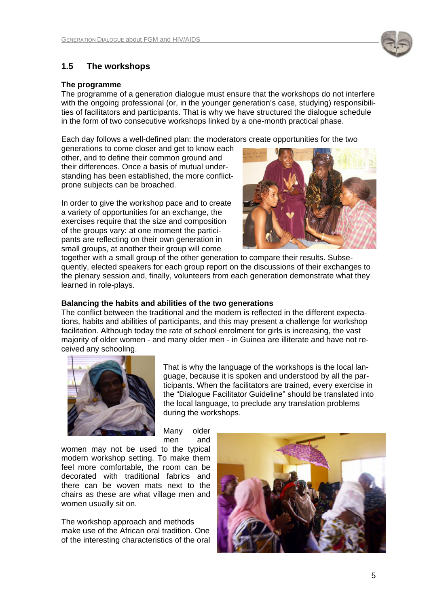

# **1.5 The workshops**

#### **The programme**

The programme of a generation dialogue must ensure that the workshops do not interfere with the ongoing professional (or, in the younger generation's case, studying) responsibilities of facilitators and participants. That is why we have structured the dialogue schedule in the form of two consecutive workshops linked by a one-month practical phase.

Each day follows a well-defined plan: the moderators create opportunities for the two

generations to come closer and get to know each other, and to define their common ground and their differences. Once a basis of mutual understanding has been established, the more conflictprone subjects can be broached.

In order to give the workshop pace and to create a variety of opportunities for an exchange, the exercises require that the size and composition of the groups vary: at one moment the participants are reflecting on their own generation in small groups, at another their group will come



together with a small group of the other generation to compare their results. Subsequently, elected speakers for each group report on the discussions of their exchanges to the plenary session and, finally, volunteers from each generation demonstrate what they learned in role-plays.

#### **Balancing the habits and abilities of the two generations**

The conflict between the traditional and the modern is reflected in the different expectations, habits and abilities of participants, and this may present a challenge for workshop facilitation. Although today the rate of school enrolment for girls is increasing, the vast majority of older women - and many older men - in Guinea are illiterate and have not received any schooling.



That is why the language of the workshops is the local language, because it is spoken and understood by all the participants. When the facilitators are trained, every exercise in the "Dialogue Facilitator Guideline" should be translated into the local language, to preclude any translation problems during the workshops.

Many older men and

women may not be used to the typical modern workshop setting. To make them feel more comfortable, the room can be decorated with traditional fabrics and there can be woven mats next to the chairs as these are what village men and women usually sit on.

The workshop approach and methods make use of the African oral tradition. One of the interesting characteristics of the oral

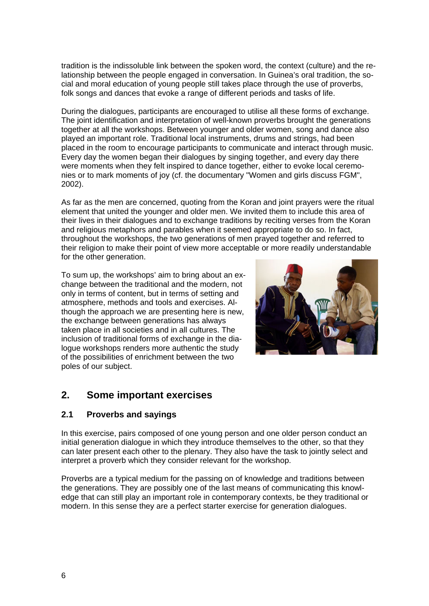tradition is the indissoluble link between the spoken word, the context (culture) and the relationship between the people engaged in conversation. In Guinea's oral tradition, the social and moral education of young people still takes place through the use of proverbs, folk songs and dances that evoke a range of different periods and tasks of life.

During the dialogues, participants are encouraged to utilise all these forms of exchange. The joint identification and interpretation of well-known proverbs brought the generations together at all the workshops. Between younger and older women, song and dance also played an important role. Traditional local instruments, drums and strings, had been placed in the room to encourage participants to communicate and interact through music. Every day the women began their dialogues by singing together, and every day there were moments when they felt inspired to dance together, either to evoke local ceremonies or to mark moments of joy (cf. the documentary "Women and girls discuss FGM", 2002).

As far as the men are concerned, quoting from the Koran and joint prayers were the ritual element that united the younger and older men. We invited them to include this area of their lives in their dialogues and to exchange traditions by reciting verses from the Koran and religious metaphors and parables when it seemed appropriate to do so. In fact, throughout the workshops, the two generations of men prayed together and referred to their religion to make their point of view more acceptable or more readily understandable for the other generation.

To sum up, the workshops' aim to bring about an exchange between the traditional and the modern, not only in terms of content, but in terms of setting and atmosphere, methods and tools and exercises. Although the approach we are presenting here is new, the exchange between generations has always taken place in all societies and in all cultures. The inclusion of traditional forms of exchange in the dialogue workshops renders more authentic the study of the possibilities of enrichment between the two poles of our subject.



# **2. Some important exercises**

### **2.1 Proverbs and sayings**

In this exercise, pairs composed of one young person and one older person conduct an initial generation dialogue in which they introduce themselves to the other, so that they can later present each other to the plenary. They also have the task to jointly select and interpret a proverb which they consider relevant for the workshop.

Proverbs are a typical medium for the passing on of knowledge and traditions between the generations. They are possibly one of the last means of communicating this knowledge that can still play an important role in contemporary contexts, be they traditional or modern. In this sense they are a perfect starter exercise for generation dialogues.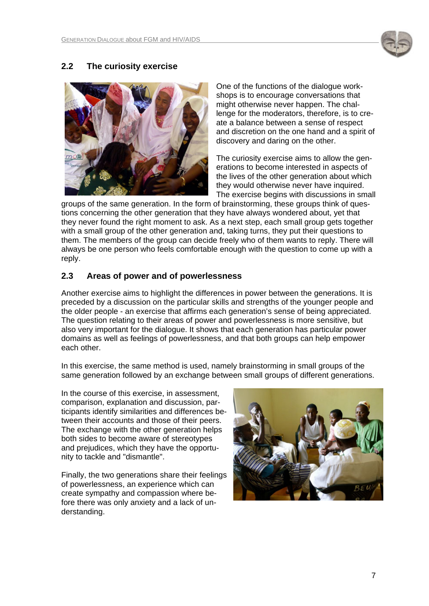

### **2.2 The curiosity exercise**



One of the functions of the dialogue workshops is to encourage conversations that might otherwise never happen. The challenge for the moderators, therefore, is to create a balance between a sense of respect and discretion on the one hand and a spirit of discovery and daring on the other.

The curiosity exercise aims to allow the generations to become interested in aspects of the lives of the other generation about which they would otherwise never have inquired. The exercise begins with discussions in small

groups of the same generation. In the form of brainstorming, these groups think of questions concerning the other generation that they have always wondered about, yet that they never found the right moment to ask. As a next step, each small group gets together with a small group of the other generation and, taking turns, they put their questions to them. The members of the group can decide freely who of them wants to reply. There will always be one person who feels comfortable enough with the question to come up with a reply.

### **2.3 Areas of power and of powerlessness**

Another exercise aims to highlight the differences in power between the generations. It is preceded by a discussion on the particular skills and strengths of the younger people and the older people - an exercise that affirms each generation's sense of being appreciated. The question relating to their areas of power and powerlessness is more sensitive, but also very important for the dialogue. It shows that each generation has particular power domains as well as feelings of powerlessness, and that both groups can help empower each other.

In this exercise, the same method is used, namely brainstorming in small groups of the same generation followed by an exchange between small groups of different generations.

In the course of this exercise, in assessment, comparison, explanation and discussion, participants identify similarities and differences between their accounts and those of their peers. The exchange with the other generation helps both sides to become aware of stereotypes and prejudices, which they have the opportunity to tackle and "dismantle".

Finally, the two generations share their feelings of powerlessness, an experience which can create sympathy and compassion where before there was only anxiety and a lack of understanding.

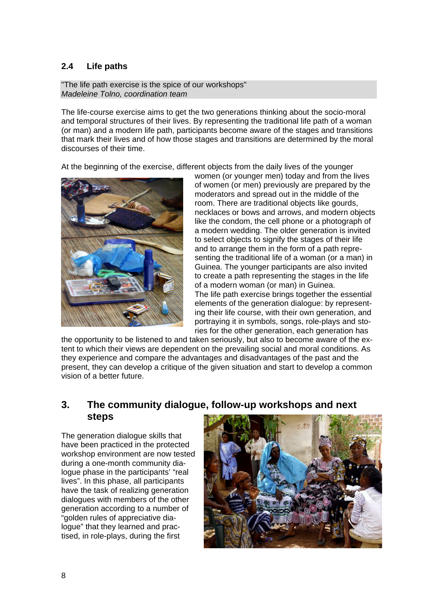# **2.4 Life paths**

"The life path exercise is the spice of our workshops" *Madeleine Tolno, coordination team* 

The life-course exercise aims to get the two generations thinking about the socio-moral and temporal structures of their lives. By representing the traditional life path of a woman (or man) and a modern life path, participants become aware of the stages and transitions that mark their lives and of how those stages and transitions are determined by the moral discourses of their time.

At the beginning of the exercise, different objects from the daily lives of the younger



women (or younger men) today and from the lives of women (or men) previously are prepared by the moderators and spread out in the middle of the room. There are traditional objects like gourds, necklaces or bows and arrows, and modern objects like the condom, the cell phone or a photograph of a modern wedding. The older generation is invited to select objects to signify the stages of their life and to arrange them in the form of a path representing the traditional life of a woman (or a man) in Guinea. The younger participants are also invited to create a path representing the stages in the life of a modern woman (or man) in Guinea. The life path exercise brings together the essential elements of the generation dialogue: by representing their life course, with their own generation, and portraying it in symbols, songs, role-plays and stories for the other generation, each generation has

the opportunity to be listened to and taken seriously, but also to become aware of the extent to which their views are dependent on the prevailing social and moral conditions. As they experience and compare the advantages and disadvantages of the past and the present, they can develop a critique of the given situation and start to develop a common vision of a better future.

# **3. The community dialogue, follow-up workshops and next steps**

The generation dialogue skills that have been practiced in the protected workshop environment are now tested during a one-month community dialogue phase in the participants' "real lives". In this phase, all participants have the task of realizing generation dialogues with members of the other generation according to a number of "golden rules of appreciative dialogue" that they learned and practised, in role-plays, during the first

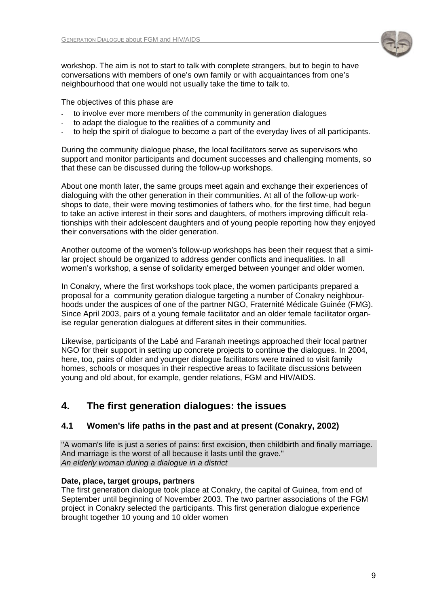

workshop. The aim is not to start to talk with complete strangers, but to begin to have conversations with members of one's own family or with acquaintances from one's neighbourhood that one would not usually take the time to talk to.

The objectives of this phase are

- to involve ever more members of the community in generation dialogues
- to adapt the dialogue to the realities of a community and
- to help the spirit of dialogue to become a part of the everyday lives of all participants.

During the community dialogue phase, the local facilitators serve as supervisors who support and monitor participants and document successes and challenging moments, so that these can be discussed during the follow-up workshops.

About one month later, the same groups meet again and exchange their experiences of dialoguing with the other generation in their communities. At all of the follow-up workshops to date, their were moving testimonies of fathers who, for the first time, had begun to take an active interest in their sons and daughters, of mothers improving difficult relationships with their adolescent daughters and of young people reporting how they enjoyed their conversations with the older generation.

Another outcome of the women's follow-up workshops has been their request that a similar project should be organized to address gender conflicts and inequalities. In all women's workshop, a sense of solidarity emerged between younger and older women.

In Conakry, where the first workshops took place, the women participants prepared a proposal for a community geration dialogue targeting a number of Conakry neighbourhoods under the auspices of one of the partner NGO, Fraternité Médicale Guinée (FMG). Since April 2003, pairs of a young female facilitator and an older female facilitator organise regular generation dialogues at different sites in their communities.

Likewise, participants of the Labé and Faranah meetings approached their local partner NGO for their support in setting up concrete projects to continue the dialogues. In 2004, here, too, pairs of older and younger dialogue facilitators were trained to visit family homes, schools or mosques in their respective areas to facilitate discussions between young and old about, for example, gender relations, FGM and HIV/AIDS.

# **4. The first generation dialogues: the issues**

### **4.1 Women's life paths in the past and at present (Conakry, 2002)**

"A woman's life is just a series of pains: first excision, then childbirth and finally marriage. And marriage is the worst of all because it lasts until the grave." *An elderly woman during a dialogue in a district* 

### **Date, place, target groups, partners**

The first generation dialogue took place at Conakry, the capital of Guinea, from end of September until beginning of November 2003. The two partner associations of the FGM project in Conakry selected the participants. This first generation dialogue experience brought together 10 young and 10 older women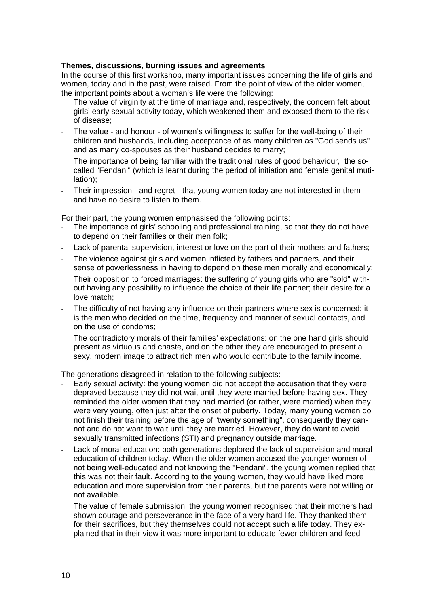#### **Themes, discussions, burning issues and agreements**

In the course of this first workshop, many important issues concerning the life of girls and women, today and in the past, were raised. From the point of view of the older women, the important points about a woman's life were the following:

- The value of virginity at the time of marriage and, respectively, the concern felt about girls' early sexual activity today, which weakened them and exposed them to the risk of disease;
- The value and honour of women's willingness to suffer for the well-being of their children and husbands, including acceptance of as many children as "God sends us" and as many co-spouses as their husband decides to marry;
- The importance of being familiar with the traditional rules of good behaviour, the socalled "Fendani" (which is learnt during the period of initiation and female genital mutilation);
- Their impression and regret that young women today are not interested in them and have no desire to listen to them.

For their part, the young women emphasised the following points:

- The importance of girls' schooling and professional training, so that they do not have to depend on their families or their men folk;
- Lack of parental supervision, interest or love on the part of their mothers and fathers;
- The violence against girls and women inflicted by fathers and partners, and their sense of powerlessness in having to depend on these men morally and economically;
- Their opposition to forced marriages: the suffering of young girls who are "sold" without having any possibility to influence the choice of their life partner; their desire for a love match;
- The difficulty of not having any influence on their partners where sex is concerned: it is the men who decided on the time, frequency and manner of sexual contacts, and on the use of condoms;
- The contradictory morals of their families' expectations: on the one hand girls should present as virtuous and chaste, and on the other they are encouraged to present a sexy, modern image to attract rich men who would contribute to the family income.

The generations disagreed in relation to the following subjects:

- Early sexual activity: the young women did not accept the accusation that they were depraved because they did not wait until they were married before having sex. They reminded the older women that they had married (or rather, were married) when they were very young, often just after the onset of puberty. Today, many young women do not finish their training before the age of "twenty something", consequently they cannot and do not want to wait until they are married. However, they do want to avoid sexually transmitted infections (STI) and pregnancy outside marriage.
- Lack of moral education: both generations deplored the lack of supervision and moral education of children today. When the older women accused the younger women of not being well-educated and not knowing the "Fendani", the young women replied that this was not their fault. According to the young women, they would have liked more education and more supervision from their parents, but the parents were not willing or not available.
- The value of female submission: the young women recognised that their mothers had shown courage and perseverance in the face of a very hard life. They thanked them for their sacrifices, but they themselves could not accept such a life today. They explained that in their view it was more important to educate fewer children and feed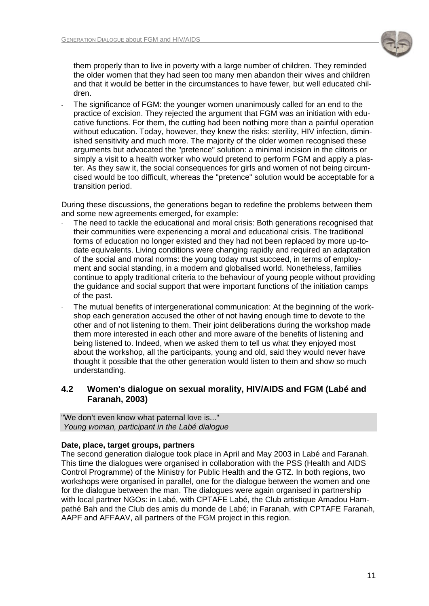

them properly than to live in poverty with a large number of children. They reminded the older women that they had seen too many men abandon their wives and children and that it would be better in the circumstances to have fewer, but well educated children.

The significance of FGM: the younger women unanimously called for an end to the practice of excision. They rejected the argument that FGM was an initiation with educative functions. For them, the cutting had been nothing more than a painful operation without education. Today, however, they knew the risks: sterility, HIV infection, diminished sensitivity and much more. The majority of the older women recognised these arguments but advocated the "pretence" solution: a minimal incision in the clitoris or simply a visit to a health worker who would pretend to perform FGM and apply a plaster. As they saw it, the social consequences for girls and women of not being circumcised would be too difficult, whereas the "pretence" solution would be acceptable for a transition period.

During these discussions, the generations began to redefine the problems between them and some new agreements emerged, for example:

- The need to tackle the educational and moral crisis: Both generations recognised that their communities were experiencing a moral and educational crisis. The traditional forms of education no longer existed and they had not been replaced by more up-todate equivalents. Living conditions were changing rapidly and required an adaptation of the social and moral norms: the young today must succeed, in terms of employment and social standing, in a modern and globalised world. Nonetheless, families continue to apply traditional criteria to the behaviour of young people without providing the guidance and social support that were important functions of the initiation camps of the past.
- The mutual benefits of intergenerational communication: At the beginning of the workshop each generation accused the other of not having enough time to devote to the other and of not listening to them. Their joint deliberations during the workshop made them more interested in each other and more aware of the benefits of listening and being listened to. Indeed, when we asked them to tell us what they enjoyed most about the workshop, all the participants, young and old, said they would never have thought it possible that the other generation would listen to them and show so much understanding.

### **4.2 Women's dialogue on sexual morality, HIV/AIDS and FGM (Labé and Faranah, 2003)**

"We don't even know what paternal love is..."  *Young woman, participant in the Labé dialogue* 

### **Date, place, target groups, partners**

The second generation dialogue took place in April and May 2003 in Labé and Faranah. This time the dialogues were organised in collaboration with the PSS (Health and AIDS Control Programme) of the Ministry for Public Health and the GTZ. In both regions, two workshops were organised in parallel, one for the dialogue between the women and one for the dialogue between the man. The dialogues were again organised in partnership with local partner NGOs: in Labé, with CPTAFE Labé, the Club artistique Amadou Hampathé Bah and the Club des amis du monde de Labé; in Faranah, with CPTAFE Faranah, AAPF and AFFAAV, all partners of the FGM project in this region.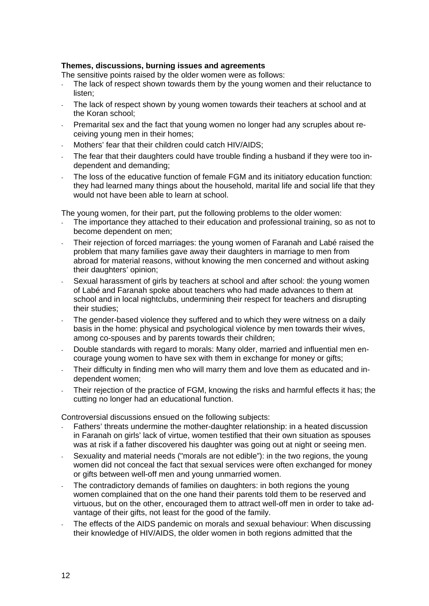#### **Themes, discussions, burning issues and agreements**

The sensitive points raised by the older women were as follows:

- The lack of respect shown towards them by the young women and their reluctance to listen;
- The lack of respect shown by young women towards their teachers at school and at the Koran school;
- Premarital sex and the fact that young women no longer had any scruples about receiving young men in their homes;
- Mothers' fear that their children could catch HIV/AIDS;
- The fear that their daughters could have trouble finding a husband if they were too independent and demanding;
- The loss of the educative function of female FGM and its initiatory education function: they had learned many things about the household, marital life and social life that they would not have been able to learn at school.

The young women, for their part, put the following problems to the older women:

- The importance they attached to their education and professional training, so as not to become dependent on men;
- Their rejection of forced marriages: the young women of Faranah and Labé raised the problem that many families gave away their daughters in marriage to men from abroad for material reasons, without knowing the men concerned and without asking their daughters' opinion;
- Sexual harassment of girls by teachers at school and after school: the young women of Labé and Faranah spoke about teachers who had made advances to them at school and in local nightclubs, undermining their respect for teachers and disrupting their studies;
- The gender-based violence they suffered and to which they were witness on a daily basis in the home: physical and psychological violence by men towards their wives, among co-spouses and by parents towards their children;
- Double standards with regard to morals: Many older, married and influential men encourage young women to have sex with them in exchange for money or gifts;
- Their difficulty in finding men who will marry them and love them as educated and independent women;
- Their rejection of the practice of FGM, knowing the risks and harmful effects it has; the cutting no longer had an educational function.

Controversial discussions ensued on the following subjects:

- Fathers' threats undermine the mother-daughter relationship: in a heated discussion in Faranah on girls' lack of virtue, women testified that their own situation as spouses was at risk if a father discovered his daughter was going out at night or seeing men.
- Sexuality and material needs ("morals are not edible"): in the two regions, the young women did not conceal the fact that sexual services were often exchanged for money or gifts between well-off men and young unmarried women.
- The contradictory demands of families on daughters: in both regions the young women complained that on the one hand their parents told them to be reserved and virtuous, but on the other, encouraged them to attract well-off men in order to take advantage of their gifts, not least for the good of the family.
- The effects of the AIDS pandemic on morals and sexual behaviour: When discussing their knowledge of HIV/AIDS, the older women in both regions admitted that the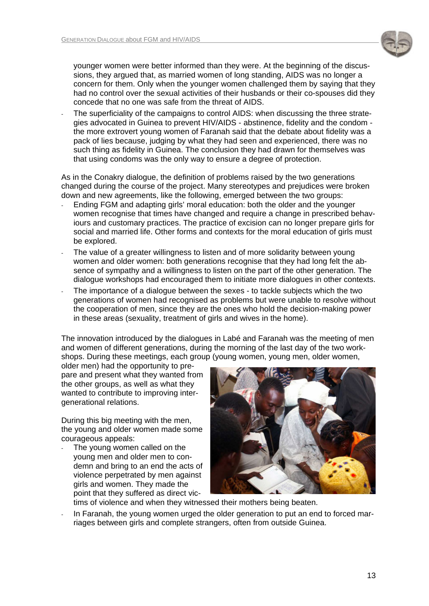

younger women were better informed than they were. At the beginning of the discussions, they argued that, as married women of long standing, AIDS was no longer a concern for them. Only when the younger women challenged them by saying that they had no control over the sexual activities of their husbands or their co-spouses did they concede that no one was safe from the threat of AIDS.

The superficiality of the campaigns to control AIDS: when discussing the three strategies advocated in Guinea to prevent HIV/AIDS - abstinence, fidelity and the condom the more extrovert young women of Faranah said that the debate about fidelity was a pack of lies because, judging by what they had seen and experienced, there was no such thing as fidelity in Guinea. The conclusion they had drawn for themselves was that using condoms was the only way to ensure a degree of protection.

As in the Conakry dialogue, the definition of problems raised by the two generations changed during the course of the project. Many stereotypes and prejudices were broken down and new agreements, like the following, emerged between the two groups:

- Ending FGM and adapting girls' moral education: both the older and the younger women recognise that times have changed and require a change in prescribed behaviours and customary practices. The practice of excision can no longer prepare girls for social and married life. Other forms and contexts for the moral education of girls must be explored.
- The value of a greater willingness to listen and of more solidarity between young women and older women: both generations recognise that they had long felt the absence of sympathy and a willingness to listen on the part of the other generation. The dialogue workshops had encouraged them to initiate more dialogues in other contexts.
- The importance of a dialogue between the sexes to tackle subjects which the two generations of women had recognised as problems but were unable to resolve without the cooperation of men, since they are the ones who hold the decision-making power in these areas (sexuality, treatment of girls and wives in the home).

The innovation introduced by the dialogues in Labé and Faranah was the meeting of men and women of different generations, during the morning of the last day of the two workshops. During these meetings, each group (young women, young men, older women,

older men) had the opportunity to prepare and present what they wanted from the other groups, as well as what they wanted to contribute to improving intergenerational relations.

During this big meeting with the men, the young and older women made some courageous appeals:

The young women called on the young men and older men to condemn and bring to an end the acts of violence perpetrated by men against girls and women. They made the point that they suffered as direct vic-



- tims of violence and when they witnessed their mothers being beaten.
- In Faranah, the young women urged the older generation to put an end to forced marriages between girls and complete strangers, often from outside Guinea.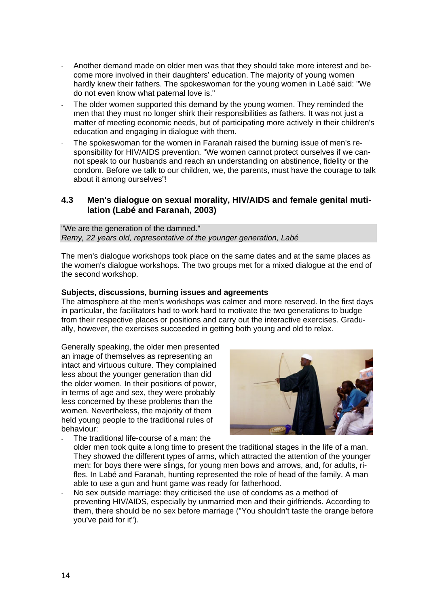- Another demand made on older men was that they should take more interest and become more involved in their daughters' education. The majority of young women hardly knew their fathers. The spokeswoman for the young women in Labé said: "We do not even know what paternal love is."
- The older women supported this demand by the young women. They reminded the men that they must no longer shirk their responsibilities as fathers. It was not just a matter of meeting economic needs, but of participating more actively in their children's education and engaging in dialogue with them.
- The spokeswoman for the women in Faranah raised the burning issue of men's responsibility for HIV/AIDS prevention. "We women cannot protect ourselves if we cannot speak to our husbands and reach an understanding on abstinence, fidelity or the condom. Before we talk to our children, we, the parents, must have the courage to talk about it among ourselves"!

#### **4.3 Men's dialogue on sexual morality, HIV/AIDS and female genital mutilation (Labé and Faranah, 2003)**

"We are the generation of the damned." *Remy, 22 years old, representative of the younger generation, Labé* 

The men's dialogue workshops took place on the same dates and at the same places as the women's dialogue workshops. The two groups met for a mixed dialogue at the end of the second workshop.

#### **Subjects, discussions, burning issues and agreements**

The atmosphere at the men's workshops was calmer and more reserved. In the first days in particular, the facilitators had to work hard to motivate the two generations to budge from their respective places or positions and carry out the interactive exercises. Gradually, however, the exercises succeeded in getting both young and old to relax.

Generally speaking, the older men presented an image of themselves as representing an intact and virtuous culture. They complained less about the younger generation than did the older women. In their positions of power, in terms of age and sex, they were probably less concerned by these problems than the women. Nevertheless, the majority of them held young people to the traditional rules of behaviour:



- The traditional life-course of a man: the older men took quite a long time to present the traditional stages in the life of a man. They showed the different types of arms, which attracted the attention of the younger men: for boys there were slings, for young men bows and arrows, and, for adults, rifles. In Labé and Faranah, hunting represented the role of head of the family. A man able to use a gun and hunt game was ready for fatherhood.
- No sex outside marriage: they criticised the use of condoms as a method of preventing HIV/AIDS, especially by unmarried men and their girlfriends. According to them, there should be no sex before marriage ("You shouldn't taste the orange before you've paid for it").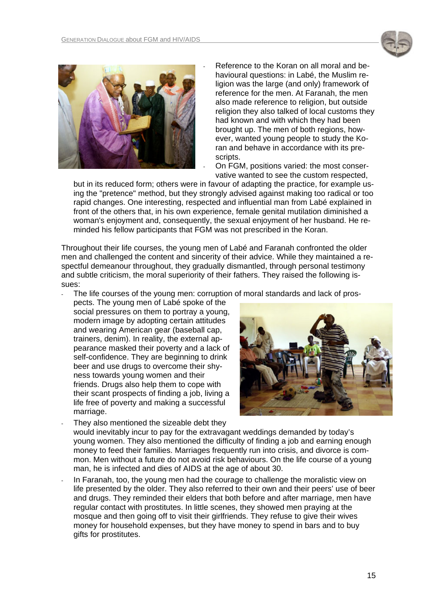



- Reference to the Koran on all moral and behavioural questions: in Labé, the Muslim religion was the large (and only) framework of reference for the men. At Faranah, the men also made reference to religion, but outside religion they also talked of local customs they had known and with which they had been brought up. The men of both regions, however, wanted young people to study the Koran and behave in accordance with its prescripts.

- On FGM, positions varied: the most conservative wanted to see the custom respected,

but in its reduced form; others were in favour of adapting the practice, for example using the "pretence" method, but they strongly advised against making too radical or too rapid changes. One interesting, respected and influential man from Labé explained in front of the others that, in his own experience, female genital mutilation diminished a woman's enjoyment and, consequently, the sexual enjoyment of her husband. He reminded his fellow participants that FGM was not prescribed in the Koran.

Throughout their life courses, the young men of Labé and Faranah confronted the older men and challenged the content and sincerity of their advice. While they maintained a respectful demeanour throughout, they gradually dismantled, through personal testimony and subtle criticism, the moral superiority of their fathers. They raised the following issues:

The life courses of the young men: corruption of moral standards and lack of pros-

pects. The young men of Labé spoke of the social pressures on them to portray a young, modern image by adopting certain attitudes and wearing American gear (baseball cap, trainers, denim). In reality, the external appearance masked their poverty and a lack of self-confidence. They are beginning to drink beer and use drugs to overcome their shyness towards young women and their friends. Drugs also help them to cope with their scant prospects of finding a job, living a life free of poverty and making a successful marriage.



They also mentioned the sizeable debt they would inevitably incur to pay for the extravagant weddings demanded by today's young women. They also mentioned the difficulty of finding a job and earning enough money to feed their families. Marriages frequently run into crisis, and divorce is common. Men without a future do not avoid risk behaviours. On the life course of a young man, he is infected and dies of AIDS at the age of about 30.

In Faranah, too, the young men had the courage to challenge the moralistic view on life presented by the older. They also referred to their own and their peers' use of beer and drugs. They reminded their elders that both before and after marriage, men have regular contact with prostitutes. In little scenes, they showed men praying at the mosque and then going off to visit their girlfriends. They refuse to give their wives money for household expenses, but they have money to spend in bars and to buy gifts for prostitutes.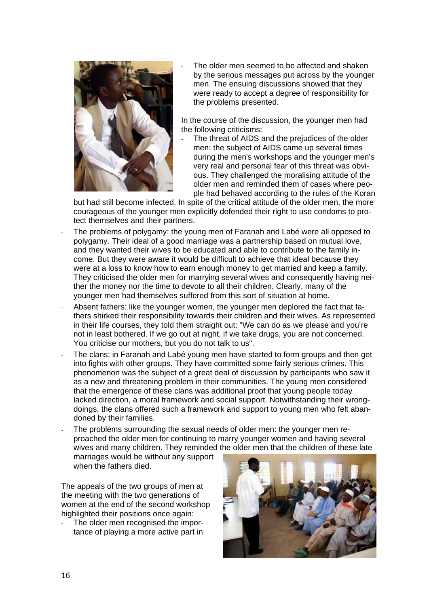

The older men seemed to be affected and shaken by the serious messages put across by the younger men. The ensuing discussions showed that they were ready to accept a degree of responsibility for the problems presented.

In the course of the discussion, the younger men had the following criticisms:

The threat of AIDS and the prejudices of the older men: the subject of AIDS came up several times during the men's workshops and the younger men's very real and personal fear of this threat was obvious. They challenged the moralising attitude of the older men and reminded them of cases where people had behaved according to the rules of the Koran

but had still become infected. In spite of the critical attitude of the older men, the more courageous of the younger men explicitly defended their right to use condoms to protect themselves and their partners.

- The problems of polygamy: the young men of Faranah and Labé were all opposed to polygamy. Their ideal of a good marriage was a partnership based on mutual love, and they wanted their wives to be educated and able to contribute to the family income. But they were aware it would be difficult to achieve that ideal because they were at a loss to know how to earn enough money to get married and keep a family. They criticised the older men for marrying several wives and consequently having neither the money nor the time to devote to all their children. Clearly, many of the younger men had themselves suffered from this sort of situation at home.
- Absent fathers: like the younger women, the younger men deplored the fact that fathers shirked their responsibility towards their children and their wives. As represented in their life courses, they told them straight out: "We can do as we please and you're not in least bothered. If we go out at night, if we take drugs, you are not concerned. You criticise our mothers, but you do not talk to us".
- The clans: in Faranah and Labé young men have started to form groups and then get into fights with other groups. They have committed some fairly serious crimes. This phenomenon was the subject of a great deal of discussion by participants who saw it as a new and threatening problem in their communities. The young men considered that the emergence of these clans was additional proof that young people today lacked direction, a moral framework and social support. Notwithstanding their wrongdoings, the clans offered such a framework and support to young men who felt abandoned by their families.
- The problems surrounding the sexual needs of older men: the younger men reproached the older men for continuing to marry younger women and having several wives and many children. They reminded the older men that the children of these late marriages would be without any support

when the fathers died.

The appeals of the two groups of men at the meeting with the two generations of women at the end of the second workshop highlighted their positions once again:

- The older men recognised the importance of playing a more active part in

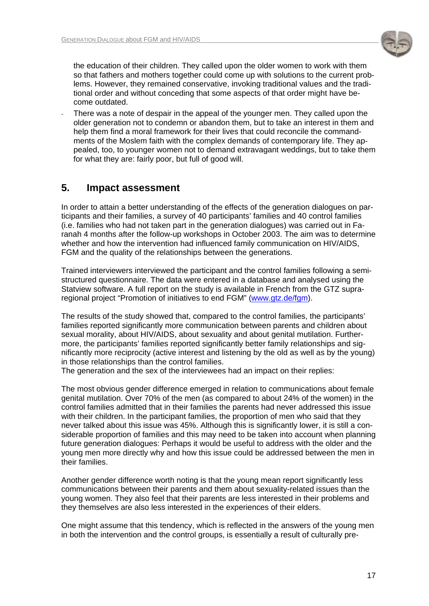

the education of their children. They called upon the older women to work with them so that fathers and mothers together could come up with solutions to the current problems. However, they remained conservative, invoking traditional values and the traditional order and without conceding that some aspects of that order might have become outdated.

There was a note of despair in the appeal of the younger men. They called upon the older generation not to condemn or abandon them, but to take an interest in them and help them find a moral framework for their lives that could reconcile the commandments of the Moslem faith with the complex demands of contemporary life. They appealed, too, to younger women not to demand extravagant weddings, but to take them for what they are: fairly poor, but full of good will.

# **5. Impact assessment**

In order to attain a better understanding of the effects of the generation dialogues on participants and their families, a survey of 40 participants' families and 40 control families (i.e. families who had not taken part in the generation dialogues) was carried out in Faranah 4 months after the follow-up workshops in October 2003. The aim was to determine whether and how the intervention had influenced family communication on HIV/AIDS, FGM and the quality of the relationships between the generations.

Trained interviewers interviewed the participant and the control families following a semistructured questionnaire. The data were entered in a database and analysed using the Statview software. A full report on the study is available in French from the GTZ supraregional project "Promotion of initiatives to end FGM" [\(www.gtz.de/fgm](http://www.gtz.de/fgm)).

The results of the study showed that, compared to the control families, the participants' families reported significantly more communication between parents and children about sexual morality, about HIV/AIDS, about sexuality and about genital mutilation. Furthermore, the participants' families reported significantly better family relationships and significantly more reciprocity (active interest and listening by the old as well as by the young) in those relationships than the control families.

The generation and the sex of the interviewees had an impact on their replies:

The most obvious gender difference emerged in relation to communications about female genital mutilation. Over 70% of the men (as compared to about 24% of the women) in the control families admitted that in their families the parents had never addressed this issue with their children. In the participant families, the proportion of men who said that they never talked about this issue was 45%. Although this is significantly lower, it is still a considerable proportion of families and this may need to be taken into account when planning future generation dialogues: Perhaps it would be useful to address with the older and the young men more directly why and how this issue could be addressed between the men in their families.

Another gender difference worth noting is that the young mean report significantly less communications between their parents and them about sexuality-related issues than the young women. They also feel that their parents are less interested in their problems and they themselves are also less interested in the experiences of their elders.

One might assume that this tendency, which is reflected in the answers of the young men in both the intervention and the control groups, is essentially a result of culturally pre-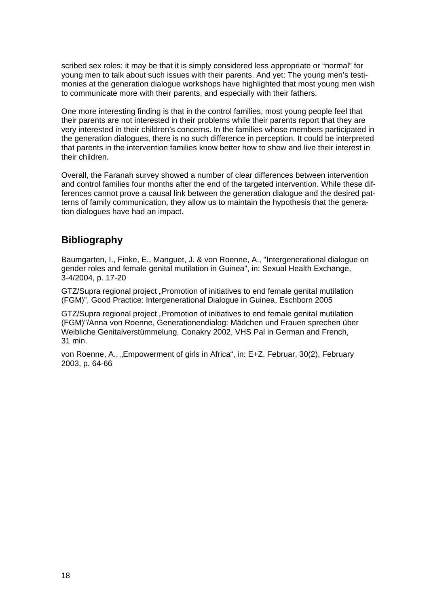scribed sex roles: it may be that it is simply considered less appropriate or "normal" for young men to talk about such issues with their parents. And yet: The young men's testimonies at the generation dialogue workshops have highlighted that most young men wish to communicate more with their parents, and especially with their fathers.

One more interesting finding is that in the control families, most young people feel that their parents are not interested in their problems while their parents report that they are very interested in their children's concerns. In the families whose members participated in the generation dialogues, there is no such difference in perception. It could be interpreted that parents in the intervention families know better how to show and live their interest in their children.

Overall, the Faranah survey showed a number of clear differences between intervention and control families four months after the end of the targeted intervention. While these differences cannot prove a causal link between the generation dialogue and the desired patterns of family communication, they allow us to maintain the hypothesis that the generation dialogues have had an impact.

# **Bibliography**

Baumgarten, I., Finke, E., Manguet, J. & von Roenne, A., "Intergenerational dialogue on gender roles and female genital mutilation in Guinea", in: Sexual Health Exchange, 3-4/2004, p. 17-20

GTZ/Supra regional project "Promotion of initiatives to end female genital mutilation (FGM)", Good Practice: Intergenerational Dialogue in Guinea, Eschborn 2005

GTZ/Supra regional project "Promotion of initiatives to end female genital mutilation (FGM)"/Anna von Roenne, Generationendialog: Mädchen und Frauen sprechen über Weibliche Genitalverstümmelung, Conakry 2002, VHS Pal in German and French, 31 min.

von Roenne, A., "Empowerment of girls in Africa", in: E+Z, Februar, 30(2), February 2003, p. 64-66